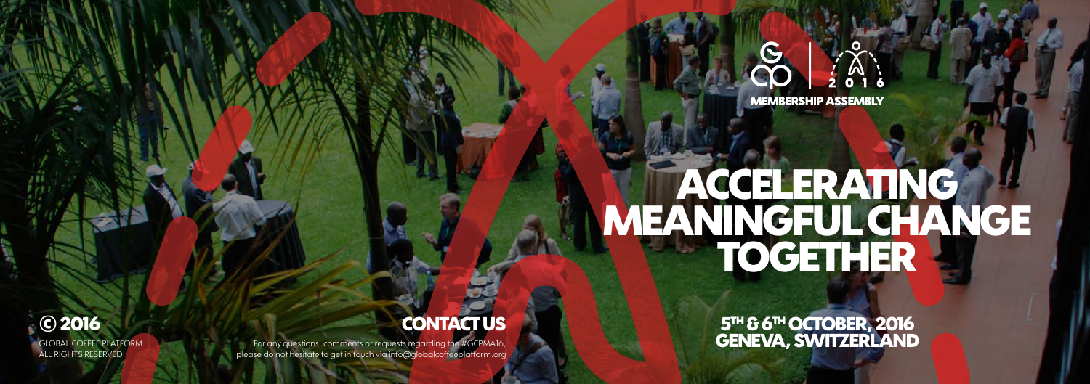5TH & 6TH OCTOBER, 2016 GENEVA, SWITZERLAND





# ACCELERATING MEANINGFUL CHANGE TOGETHER

For any questions, comments or requests regarding the #GCPMA16, please do not hesitate to get in touch via info@globalcoffeeplatform.org



GLOBAL COFFEE PLATFORM ALL RIGHTS RESERVED

## **CONTACT US**